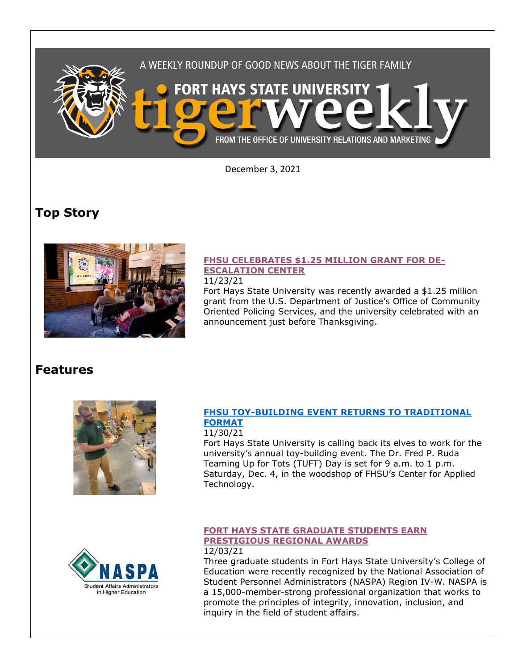

December 3, 2021

# **Top Story**



## **[FHSU CELEBRATES \\$1.25 MILLION GRANT FOR DE-](https://www.fhsu.edu/news/2021/11/fhsu-celebrates-1.25million-grant-for-de-escalation-center)[ESCALATION CENTER](https://www.fhsu.edu/news/2021/11/fhsu-celebrates-1.25million-grant-for-de-escalation-center)**

#### 11/23/21

Fort Hays State University was recently awarded a \$1.25 million grant from the U.S. Department of Justice's Office of Community Oriented Policing Services, and the university celebrated with an announcement just before Thanksgiving.

## **Features**



## **[FHSU TOY-BUILDING EVENT RETURNS TO TRADITIONAL](https://www.fhsu.edu/news/2021/11/fhsu-toy-building-event-returns-to-traditional-format)  [FORMAT](https://www.fhsu.edu/news/2021/11/fhsu-toy-building-event-returns-to-traditional-format)**

### 11/30/21

Fort Hays State University is calling back its elves to work for the university's annual toy-building event. The Dr. Fred P. Ruda Teaming Up for Tots (TUFT) Day is set for 9 a.m. to 1 p.m. Saturday, Dec. 4, in the woodshop of FHSU's Center for Applied Technology.



#### **[FORT HAYS STATE GRADUATE STUDENTS EARN](https://www.fhsu.edu/news/2021/12/fort-hays-state-graduate-students-earn-prestigious-regional-awards)  [PRESTIGIOUS REGIONAL AWARDS](https://www.fhsu.edu/news/2021/12/fort-hays-state-graduate-students-earn-prestigious-regional-awards)** 12/03/21

Three graduate students in Fort Hays State University's College of Education were recently recognized by the National Association of Student Personnel Administrators (NASPA) Region IV-W. NASPA is a 15,000-member-strong professional organization that works to promote the principles of integrity, innovation, inclusion, and inquiry in the field of student affairs.